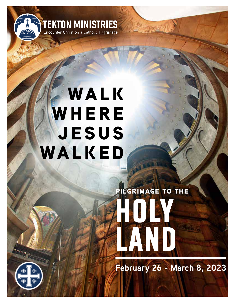

## **WALK WHERE jesus walked**

# **HOLY LAND pilgrimage to the**

**February 26 - March 8, 2023**

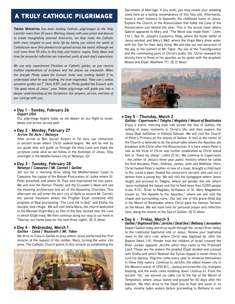### a truly catholic pilgrimage

**Tekton Ministries** *has been leading Catholic pilgrimages to the Holy Land for more than 20 years. Working closely with your priest and deacon to create thoughtfully planned itineraries, we help make the Catholic faith more tangible to your daily life by taking you where the seeds of Catholicism were first planted to be spread across the world. Although we visit more than 50 sites in this holy and historic region, Daily Mass and time for prayerful reflection are important parts of each day's experience.*

*We use only experienced Christian or Catholic guides, so you receive truthful explanations of scripture and the places we encounter. When the disciple Philip asked the Eunuch (who was reading Isaiah) if he understood what he was reading, the man responded, "How can I, unless someone guides me?" (Acts 8:35) Just as Philip guided the Eunuch with "the good news of Jesus," your Tekton pilgrimage will guide you into a deeper understanding of the Scriptures. Our prayers, service, and love of our Lord go with you.*

#### l **Day 1 - Sunday, February 26** *Depart USA*

Our pilgrimage begins today as we depart on our flight to Israel. Meals and drinks served aloft.

#### l **Day 2 - Monday, February 27** *Arrive Tel Aviv / Netanya*

After arrival at Ben Gurion Airport in Tel Aviv, our immersion in ancient Israel where Christ walked begins. We will be met by our guide who will guide us through the Holy Land and make the scripture come alive as we follow in the footsteps of Jesus. Stay overnight in the Mediterranean city of Netanya. *(D)*

#### l **Day 3 - Tuesday, February 28** *Netanya / Caesarea / Mt. Carmel / Galilee*

Set out for a morning drive along the Mediterranean Coast to Caesarea, the capital of the Roman Procurators of Judea where St. Peter preached, and where St. Paul was imprisoned for two years. We will visit the Roman Theater and the Crusader's Moat and see the stunning architecture and art of the Byzantine Churches. This afternoon we will enter the port city of Haifa to ascend Mt. Carmel, the sacred mountain where the Prophet Elijah contested 450 prophets of Baal proclaiming "The Lord, He is God," and Elisha, his disciple, took refuge. We will visit Stella Maris, the church dedicated to the Blessed Virgin Mary as Star of the Sea, located near the cave in which Elijah lived. We then continue along our way to our hotel in Tiberias, our home base for the next three nights. *(B, D, Mass)*

#### l **Day 4 - Wednesday, March 1** *Galilee - Cana / Nazareth / Mt. Tabor*

We drive to Cana in Galilee to pray where Jesus performed His first miracle, at the request of His mother, Mary, turning the water into wine. The Catholic Church points to this miracle as establishing the



Sacrament of Marriage. If you wish, you may renew your wedding vows here as a lasting remembrance of this holy site. Afterwards, travel a short distance to Nazareth, the childhood home of Jesus. Explore the Church of the Annunciation that holds the Cave of the Annunciation just behind the altar. This is the actual room where Gabriel appeared to Mary and "The Word was made flesh." (John 1:14.). See St. Joseph's Carpentry Shop, where the foster father of Jesus worked, and Mary's Well, where the Virgin Mary drew water with her Son for their daily living. We will take our last excursion of the day to the summit of Mt. Tabor, the site of the Transfiguration and the culminating point of Christ's public life. Christ revealed his divinity here to three of his apostles as he spoke with the prophets Moses and Elijah (Matthew 17). *(B, D, Mass)*



#### l **Day 5 - Thursday, March 2**

*Galilee - Capernaum / Tabgha / Magdala / Mount of Beatitudes* Enjoy a scenic morning boat ride across the Sea of Galilee, the setting of many moments in Christ's life, and then explore the Jesus Boat exhibition in Kibbutz Ginosar. We will visit the Church of Peter's Primacy on the shores of Galilee. A rock at the center of the Church is believed to be the actual table where the Apostles ate breakfast with Christ after His Resurrection. It is here where Peter's role as the Vicar of Christ was further established as Christ asked him to "Feed my sheep" (John 21:16). We continue to Capernaum - the center of Jesus's three-year public ministry where he called his first disciples, Peter, Andrew, James, John and Matthew. Here, Christ healed Peter's mother-in-law of a fever, brought a child back to life, cured a leper, healed the centurion's servant, and cast out a demon from a young boy. We will visit the synagogue where Jesus taught and proceed to Tabgha, where we ponder the site where Jesus multiplied the loaves and fish to feed more than 5,000 people (Luke 9:13). Drive to Magdala, birthplace of St. Mary Magdalene, known as "the Apostle to the Apostles," where we will visit the chapel and surrounding ruins. Our last site of this grace-filled day is the Mount of Beatitudes where Christ gave his famous Sermon on the Mount. We will have time for personal prayer and reflection here, along the shores of the Sea of Galilee. *(B, D, Mass)*

#### l **Day 6 - Friday, March 3**

*Galilee / Baptismal Site / Jericho / Dead Sea / Bethany /Jerusalem* Depart Galilee today and drive south through the Jordan River Valley to the traditional baptismal site of Jesus. Renew your baptismal vows in the very river where Christ was baptized by John the Baptist (Mark 1:9). Ponder how the children of Israel crossed the River Jordan opposite Jericho when they came to the Promised Land. These are the waters the prophet Elijah divided and crossed with Elisha and which Naaman the Syrian dipped in seven times to cure his leprosy. Pilgrims come every year to immerse themselves in these holy waters. Continue to Jericho, the oldest known city in the Western world. In 1250 B.C., Joshua encircled the city, trumpets blasting, and the walls came tumbling down (Joshua 6). From the ancient "tel," we ascend via cable car to the top of the Mount of Temptation, where Jesus fasted and prayed for 40 days after His baptism. We then drive to the Dead Sea to float and swim in its salty, mineral laden waters before proceeding to Bethany to visit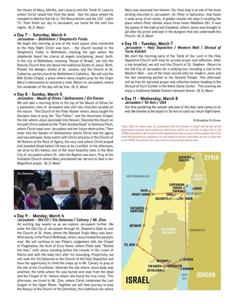the House of Mary, Martha, and Lazarus and the Tomb of Lazarus where Christ raised him from the dead. See the place where He revealed to Martha that He is "the Resurrection and the Life" (John 11). Then finish our day in Jerusalem, our home for the next five nights. *(B, D, Mass)*

#### l **Day 7 - Saturday, March 4** *Jerusalem – Bethlehem / Shepherd's Fields*

We begin this morning at one of the most joyous sites connected to the Holy Night Christ was born - the church located in the Shepherd's Fields in Bethlehem, marking the spot where the shepherds heard the chorus of angels proclaiming Jesus' birth. In the city of Bethlehem, meaning "House of Bread," we visit the Nativity Church that sits above the traditional Grotto of Jesus' Birth. Ponder the Manger, Grotto of St. Jerome, and the Church of St. Catherine, parish church for Bethlehem's Catholics. We will visit the Milk Grotto Chapel, a place where many couples pray for the Virgin Mary's intercession to conceive a child. Return to Jerusalem, where the remainder of the day will be free. *(B, D, Mass)*

#### l **Day 8 - Sunday, March 5**

#### *Jerusalem - Mount of Olives / Gethsemane / Ein Karem*

We will take a morning drive to the top of the Mount of Olives for a panoramic view of Jerusalem and visit two churches located on the mount: The Church of the Pater Noster where Jesus taught his disciples how to pray the "Our Father," and the Ascension Chapel, the site where Jesus ascended into Heaven. Descend the mount on the path Christ walked on the "Palm Sunday Road" to Dominus Flevit, where Christ wept over Jerusalem and her future destruction. Then enter into the Garden of Gethsemane where Christ had his agony and was betrayed. Keep watch with Christ and pray in the Church of All Nations at the Rock of Agony, the very rock where Christ prayed and sweated blood before He was to be crucified. In the afternoon, we drive to Ein Karem, one of the most beautiful sites in the New City of Jerusalem where St. John the Baptist was born. Pray at the Visitation Church where Mary proclaimed her service to God in her Magnificat prayer. *(B, D, Mass)*



#### l **Day 9 - Monday, March 6** *Jerusalem - Old Cit / Via Dolorosa / Calvary / Mt. Zion*

An exciting day awaits us as we explore Jerusalem further. We enter the Old City of Jerusalem through St. Stephen's Gate to visit the Church of St. Anne, where the Blessed Virgin Mary was born. Afterwards, is the Pool of Bethesda, where Jesus healed the paralytic man. We will continue to see Pilate's Judgement Hall, the Chapel of Flagellation, the Arch of Ecce Homo, where Pilate said, "Behold the man," with Jesus standing before the crowds in His crown of thorns and with His body torn after his scourging. Prayerfully, we will walk the Via Dolorosa to the Church of the Holy Sepulchre and have the opportunity to climb the steps up to Mt. Calvary to pray at the site of the Crucifixion. Venerate the site where Jesus body was anointed, the tomb where He was buried and rose from the dead and the Chapel of St. Helena where she found the true cross. This afternoon, we travel to Mt. Zion, where Christ celebrated the Last Supper in the Upper Room. Together we will then journey to pray the Rosary at the Church of the Dormition, the traditional site where Mary was assumed into heaven. Our final stop is at one of the most striking churches in Jerusalem –St. Peter in Gallicantu– that hosts a wide array of art styles. A golden rooster sits atop it recalling the place where Peter denied Jesus three times (Matthew 26). It was the palace of the high priest Caiaphas, where Jesus was brought to jail after his arrest and kept in the dungeon that sits underneath the Church. *(B, D, Mass)*

#### l **Day 10 - Tuesday, March 7**

#### *Jerusalem – Holy Sepulchre / Western Wall / Shroud of Turin Exhibit*

We start the morning early at the Tomb of Our Lord in the Holy Sepulchre Church with time for private prayer and reflection. After a late breakfast, we will visit the Church of St. Stephen. Return to the Old City of Jerusalem for a walking tour including a visit to the Western Wall – one of the most sacred sites for modern Jews and the last remaining portion or the Second Temple. This afternoon will be free for personal prayer and reflection before heading to the Shroud of Turin Exhibit in the Notre Dame Center. This evening we enjoy a traditional Middle Eastern farewell dinner. *(B, D, Mass)*

#### l **Day 11 - Wednesday, March 8** *Jerusalem / Tel Aviv / USA*

Our time pondering the wonder and awe of the Holy Land comes to an end. We transfer to the airport in Tel Aviv to catch our return flight home.

#### *B=Breakfast D=Dinner*

*These rates are based upon an assumption that the situation in Israel will be free of the government-imposed social distancing restrictions which are currently in place due to the COVID-19 pandemic. We cannot be held responsible for any increase in these quoted rates in the event that government regulations are not relaxed or further restrictions are put in place due to the COVID-19 pandemic that may result in increased operational costs.*